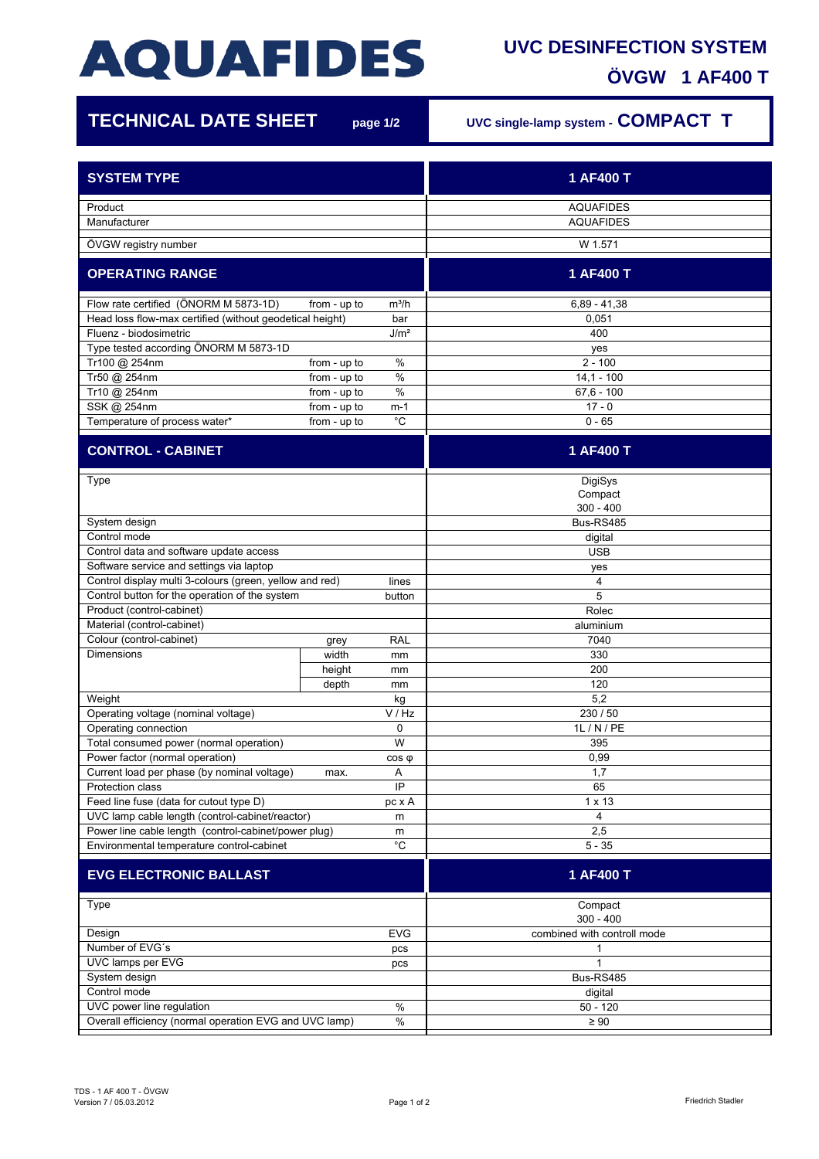## **AQUAFIDES**

## **UVC DESINFECTION SYSTEM ÖVGW 1 AF400 T**

7

| <b>TECHNICAL DATE SHEET</b>                                                    |              | page 1/2            | UVC single-lamp system - COMPACT T |
|--------------------------------------------------------------------------------|--------------|---------------------|------------------------------------|
| <b>SYSTEM TYPE</b>                                                             |              |                     | 1 AF400 T                          |
| Product                                                                        |              |                     | <b>AQUAFIDES</b>                   |
| Manufacturer                                                                   |              |                     | <b>AQUAFIDES</b>                   |
| ÖVGW registry number                                                           |              |                     | W 1.571                            |
| <b>OPERATING RANGE</b>                                                         |              |                     | 1 AF400 T                          |
| Flow rate certified (ÖNORM M 5873-1D)                                          | from - up to | $m^3/h$             | $6,89 - 41,38$                     |
| Head loss flow-max certified (without geodetical height)<br>bar                |              |                     | 0,051                              |
| Fluenz - biodosimetric<br>J/m <sup>2</sup>                                     |              |                     | 400                                |
| Type tested according ÖNORM M 5873-1D                                          |              |                     | yes                                |
| Tr100 @ 254nm                                                                  | from - up to | $\%$                | $2 - 100$                          |
| Tr50 @ 254nm                                                                   | from - up to | $\%$                | $14,1 - 100$                       |
| Tr10 @ 254nm                                                                   | from - up to | $\%$                | $67,6 - 100$                       |
| SSK @ 254nm                                                                    | from - up to | m-1<br>$^{\circ}$ C | $17 - 0$                           |
| Temperature of process water*                                                  | from - up to |                     | $0 - 65$                           |
| <b>CONTROL - CABINET</b>                                                       |              |                     | 1 AF400 T                          |
| Type                                                                           |              |                     | DigiSys                            |
|                                                                                |              |                     | Compact                            |
|                                                                                |              |                     | 300 - 400                          |
| System design                                                                  |              |                     | Bus-RS485                          |
| Control mode                                                                   |              |                     | digital                            |
| Control data and software update access                                        |              |                     | <b>USB</b>                         |
| Software service and settings via laptop                                       |              |                     | yes                                |
| Control display multi 3-colours (green, yellow and red)                        |              | lines               | 4                                  |
| Control button for the operation of the system<br>button                       |              |                     | 5                                  |
| Product (control-cabinet)                                                      |              |                     | Rolec                              |
| Material (control-cabinet)                                                     |              |                     | aluminium                          |
| Colour (control-cabinet)                                                       | grey         | <b>RAL</b>          | 7040                               |
| <b>Dimensions</b>                                                              | width        | mm                  | 330                                |
|                                                                                | height       | mm                  | 200                                |
|                                                                                | depth        | mm                  | 120                                |
| Weight<br>kg                                                                   |              |                     | 5,2                                |
| Operating voltage (nominal voltage)                                            |              | V / Hz              | 230 / 50                           |
| Operating connection                                                           |              | 0                   | 1L / N / PE                        |
| W<br>Total consumed power (normal operation)                                   |              |                     | 395                                |
| Power factor (normal operation)<br>Current load per phase (by nominal voltage) |              | $cos \phi$          | 0,99<br>1,7                        |
| Protection class                                                               | max.         | Α<br>IP             | 65                                 |
| Feed line fuse (data for cutout type D)                                        |              | pc x A              | $1 \times 13$                      |
| UVC lamp cable length (control-cabinet/reactor)<br>m                           |              |                     | 4                                  |
| Power line cable length (control-cabinet/power plug)                           |              | m                   | 2,5                                |
| $^{\circ}{\rm C}$<br>Environmental temperature control-cabinet                 |              | $5 - 35$            |                                    |
| <b>EVG ELECTRONIC BALLAST</b>                                                  |              |                     | 1 AF400 T                          |
|                                                                                |              |                     |                                    |
| Type                                                                           |              |                     | Compact<br>$300 - 400$             |
| Design<br><b>EVG</b>                                                           |              |                     | combined with controll mode        |
| Number of EVG's<br>pcs                                                         |              |                     | 1                                  |
| UVC lamps per EVG<br>pcs                                                       |              |                     | 1                                  |
| System design                                                                  |              |                     | Bus-RS485                          |
| Control mode                                                                   |              |                     | digital                            |
| UVC power line regulation<br>$\%$                                              |              |                     | $50 - 120$                         |
| $\%$<br>Overall efficiency (normal operation EVG and UVC lamp)                 |              |                     | $\geq 90$                          |
|                                                                                |              |                     |                                    |